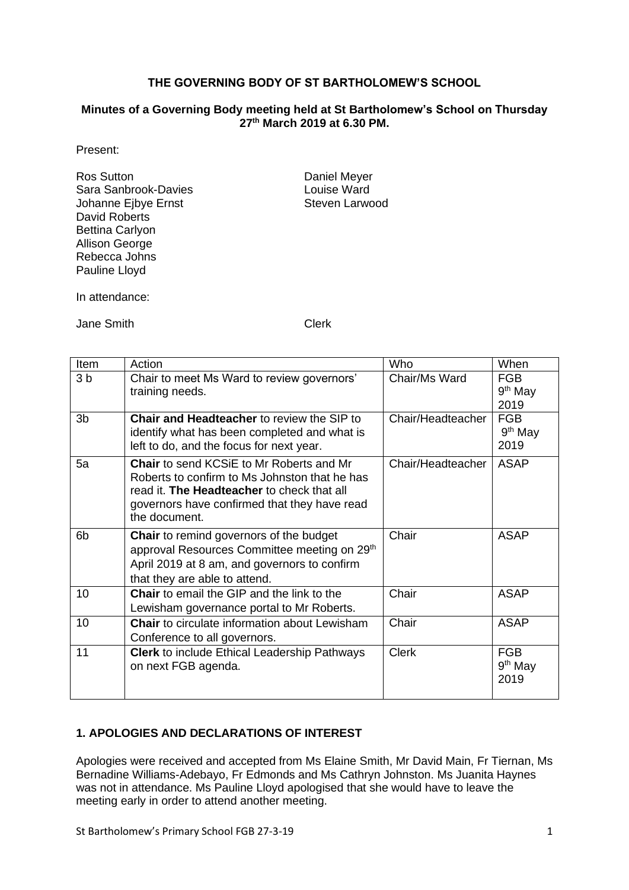## **THE GOVERNING BODY OF ST BARTHOLOMEW'S SCHOOL**

#### **Minutes of a Governing Body meeting held at St Bartholomew's School on Thursday 27 th March 2019 at 6.30 PM.**

### Present:

Ros Sutton **Daniel Meyer** Sara Sanbrook-Davies Louise Ward Johanne Ejbye Ernst David Roberts Bettina Carlyon Allison George Rebecca Johns Pauline Lloyd

In attendance:

Jane Smith Clerk

| Item           | Action                                                                                                                                                                                                          | Who               | When                            |
|----------------|-----------------------------------------------------------------------------------------------------------------------------------------------------------------------------------------------------------------|-------------------|---------------------------------|
| 3 <sub>b</sub> | Chair to meet Ms Ward to review governors'<br>training needs.                                                                                                                                                   | Chair/Ms Ward     | <b>FGB</b><br>$9th$ May<br>2019 |
| 3 <sub>b</sub> | <b>Chair and Headteacher to review the SIP to</b><br>identify what has been completed and what is<br>left to do, and the focus for next year.                                                                   | Chair/Headteacher | <b>FGB</b><br>$9th$ May<br>2019 |
| 5a             | <b>Chair</b> to send KCSIE to Mr Roberts and Mr<br>Roberts to confirm to Ms Johnston that he has<br>read it. The Headteacher to check that all<br>governors have confirmed that they have read<br>the document. | Chair/Headteacher | <b>ASAP</b>                     |
| 6 <sub>b</sub> | <b>Chair</b> to remind governors of the budget<br>approval Resources Committee meeting on 29th<br>April 2019 at 8 am, and governors to confirm<br>that they are able to attend.                                 | Chair             | <b>ASAP</b>                     |
| 10             | <b>Chair</b> to email the GIP and the link to the<br>Lewisham governance portal to Mr Roberts.                                                                                                                  | Chair             | <b>ASAP</b>                     |
| 10             | <b>Chair</b> to circulate information about Lewisham<br>Conference to all governors.                                                                                                                            | Chair             | <b>ASAP</b>                     |
| 11             | <b>Clerk</b> to include Ethical Leadership Pathways<br>on next FGB agenda.                                                                                                                                      | <b>Clerk</b>      | <b>FGB</b><br>$9th$ May<br>2019 |

## **1. APOLOGIES AND DECLARATIONS OF INTEREST**

Apologies were received and accepted from Ms Elaine Smith, Mr David Main, Fr Tiernan, Ms Bernadine Williams-Adebayo, Fr Edmonds and Ms Cathryn Johnston. Ms Juanita Haynes was not in attendance. Ms Pauline Lloyd apologised that she would have to leave the meeting early in order to attend another meeting.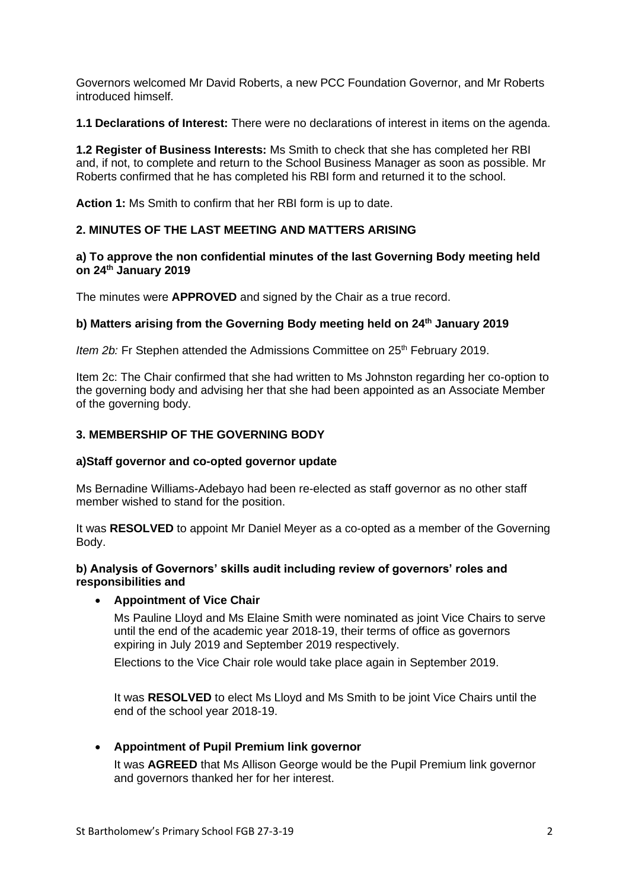Governors welcomed Mr David Roberts, a new PCC Foundation Governor, and Mr Roberts introduced himself.

**1.1 Declarations of Interest:** There were no declarations of interest in items on the agenda.

**1.2 Register of Business Interests:** Ms Smith to check that she has completed her RBI and, if not, to complete and return to the School Business Manager as soon as possible. Mr Roberts confirmed that he has completed his RBI form and returned it to the school.

**Action 1:** Ms Smith to confirm that her RBI form is up to date.

## **2. MINUTES OF THE LAST MEETING AND MATTERS ARISING**

### **a) To approve the non confidential minutes of the last Governing Body meeting held on 24 th January 2019**

The minutes were **APPROVED** and signed by the Chair as a true record.

### **b) Matters arising from the Governing Body meeting held on 24th January 2019**

*Item 2b:* Fr Stephen attended the Admissions Committee on 25<sup>th</sup> February 2019.

Item 2c: The Chair confirmed that she had written to Ms Johnston regarding her co-option to the governing body and advising her that she had been appointed as an Associate Member of the governing body.

## **3. MEMBERSHIP OF THE GOVERNING BODY**

#### **a)Staff governor and co-opted governor update**

Ms Bernadine Williams-Adebayo had been re-elected as staff governor as no other staff member wished to stand for the position.

It was **RESOLVED** to appoint Mr Daniel Meyer as a co-opted as a member of the Governing Body.

### **b) Analysis of Governors' skills audit including review of governors' roles and responsibilities and**

## • **Appointment of Vice Chair**

Ms Pauline Lloyd and Ms Elaine Smith were nominated as joint Vice Chairs to serve until the end of the academic year 2018-19, their terms of office as governors expiring in July 2019 and September 2019 respectively.

Elections to the Vice Chair role would take place again in September 2019.

It was **RESOLVED** to elect Ms Lloyd and Ms Smith to be joint Vice Chairs until the end of the school year 2018-19.

## • **Appointment of Pupil Premium link governor**

It was **AGREED** that Ms Allison George would be the Pupil Premium link governor and governors thanked her for her interest.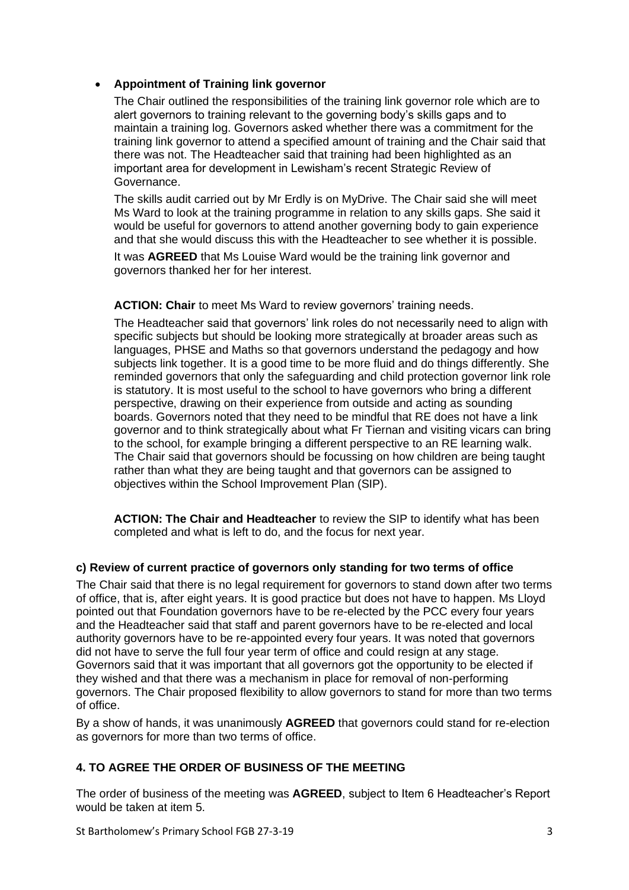## • **Appointment of Training link governor**

The Chair outlined the responsibilities of the training link governor role which are to alert governors to training relevant to the governing body's skills gaps and to maintain a training log. Governors asked whether there was a commitment for the training link governor to attend a specified amount of training and the Chair said that there was not. The Headteacher said that training had been highlighted as an important area for development in Lewisham's recent Strategic Review of Governance.

The skills audit carried out by Mr Erdly is on MyDrive. The Chair said she will meet Ms Ward to look at the training programme in relation to any skills gaps. She said it would be useful for governors to attend another governing body to gain experience and that she would discuss this with the Headteacher to see whether it is possible.

It was **AGREED** that Ms Louise Ward would be the training link governor and governors thanked her for her interest.

**ACTION: Chair** to meet Ms Ward to review governors' training needs.

The Headteacher said that governors' link roles do not necessarily need to align with specific subjects but should be looking more strategically at broader areas such as languages, PHSE and Maths so that governors understand the pedagogy and how subjects link together. It is a good time to be more fluid and do things differently. She reminded governors that only the safeguarding and child protection governor link role is statutory. It is most useful to the school to have governors who bring a different perspective, drawing on their experience from outside and acting as sounding boards. Governors noted that they need to be mindful that RE does not have a link governor and to think strategically about what Fr Tiernan and visiting vicars can bring to the school, for example bringing a different perspective to an RE learning walk. The Chair said that governors should be focussing on how children are being taught rather than what they are being taught and that governors can be assigned to objectives within the School Improvement Plan (SIP).

**ACTION: The Chair and Headteacher** to review the SIP to identify what has been completed and what is left to do, and the focus for next year.

## **c) Review of current practice of governors only standing for two terms of office**

The Chair said that there is no legal requirement for governors to stand down after two terms of office, that is, after eight years. It is good practice but does not have to happen. Ms Lloyd pointed out that Foundation governors have to be re-elected by the PCC every four years and the Headteacher said that staff and parent governors have to be re-elected and local authority governors have to be re-appointed every four years. It was noted that governors did not have to serve the full four year term of office and could resign at any stage. Governors said that it was important that all governors got the opportunity to be elected if they wished and that there was a mechanism in place for removal of non-performing governors. The Chair proposed flexibility to allow governors to stand for more than two terms of office.

By a show of hands, it was unanimously **AGREED** that governors could stand for re-election as governors for more than two terms of office.

## **4. TO AGREE THE ORDER OF BUSINESS OF THE MEETING**

The order of business of the meeting was **AGREED**, subject to Item 6 Headteacher's Report would be taken at item 5.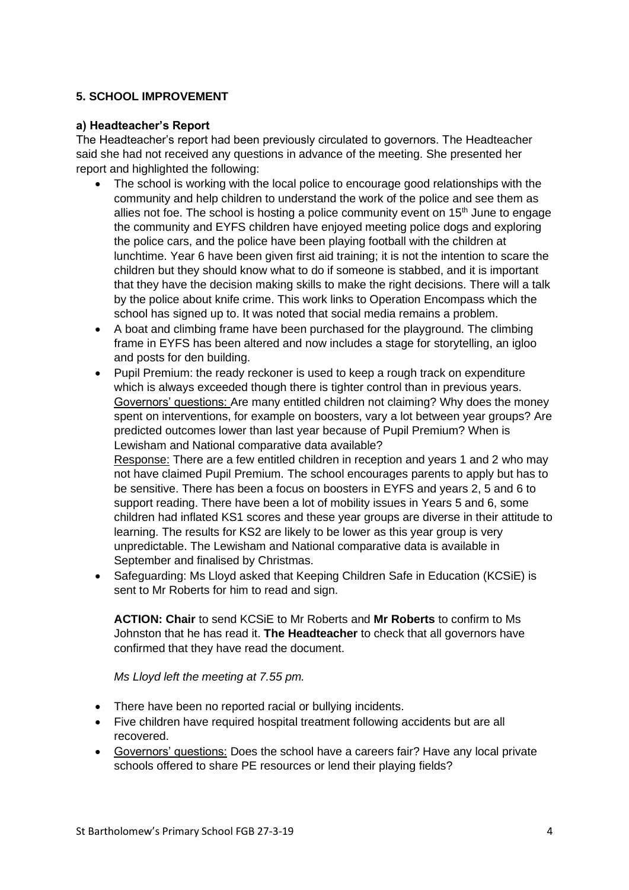## **5. SCHOOL IMPROVEMENT**

## **a) Headteacher's Report**

The Headteacher's report had been previously circulated to governors. The Headteacher said she had not received any questions in advance of the meeting. She presented her report and highlighted the following:

- The school is working with the local police to encourage good relationships with the community and help children to understand the work of the police and see them as allies not foe. The school is hosting a police community event on  $15<sup>th</sup>$  June to engage the community and EYFS children have enjoyed meeting police dogs and exploring the police cars, and the police have been playing football with the children at lunchtime. Year 6 have been given first aid training; it is not the intention to scare the children but they should know what to do if someone is stabbed, and it is important that they have the decision making skills to make the right decisions. There will a talk by the police about knife crime. This work links to Operation Encompass which the school has signed up to. It was noted that social media remains a problem.
- A boat and climbing frame have been purchased for the playground. The climbing frame in EYFS has been altered and now includes a stage for storytelling, an igloo and posts for den building.
- Pupil Premium: the ready reckoner is used to keep a rough track on expenditure which is always exceeded though there is tighter control than in previous years. Governors' questions: Are many entitled children not claiming? Why does the money spent on interventions, for example on boosters, vary a lot between year groups? Are predicted outcomes lower than last year because of Pupil Premium? When is Lewisham and National comparative data available? Response: There are a few entitled children in reception and years 1 and 2 who may not have claimed Pupil Premium. The school encourages parents to apply but has to be sensitive. There has been a focus on boosters in EYFS and years 2, 5 and 6 to support reading. There have been a lot of mobility issues in Years 5 and 6, some children had inflated KS1 scores and these year groups are diverse in their attitude to learning. The results for KS2 are likely to be lower as this year group is very unpredictable. The Lewisham and National comparative data is available in September and finalised by Christmas.
- Safeguarding: Ms Lloyd asked that Keeping Children Safe in Education (KCSiE) is sent to Mr Roberts for him to read and sign.

**ACTION: Chair** to send KCSiE to Mr Roberts and **Mr Roberts** to confirm to Ms Johnston that he has read it. **The Headteacher** to check that all governors have confirmed that they have read the document.

*Ms Lloyd left the meeting at 7.55 pm.*

- There have been no reported racial or bullying incidents.
- Five children have required hospital treatment following accidents but are all recovered.
- Governors' questions: Does the school have a careers fair? Have any local private schools offered to share PE resources or lend their playing fields?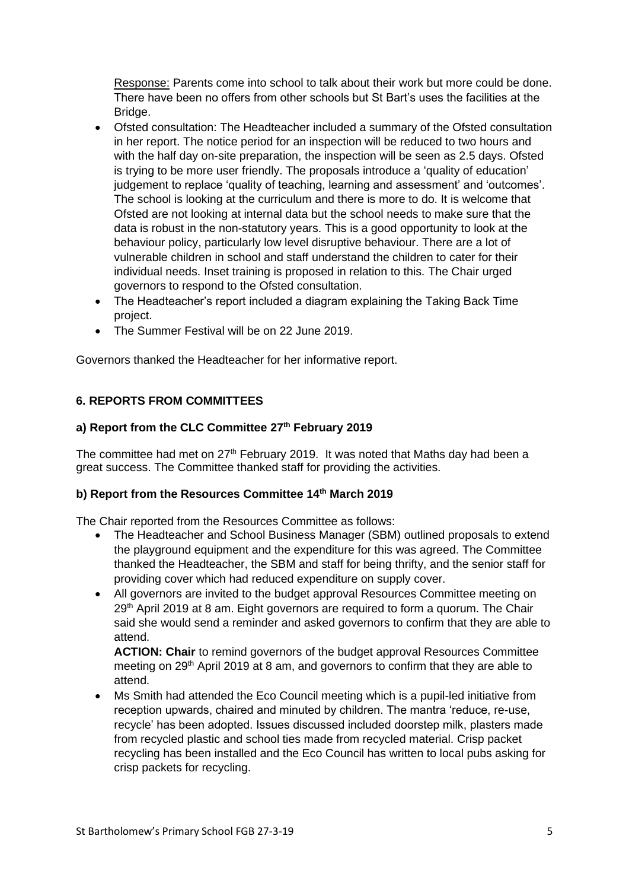Response: Parents come into school to talk about their work but more could be done. There have been no offers from other schools but St Bart's uses the facilities at the Bridge.

- Ofsted consultation: The Headteacher included a summary of the Ofsted consultation in her report. The notice period for an inspection will be reduced to two hours and with the half day on-site preparation, the inspection will be seen as 2.5 days. Ofsted is trying to be more user friendly. The proposals introduce a 'quality of education' judgement to replace 'quality of teaching, learning and assessment' and 'outcomes'. The school is looking at the curriculum and there is more to do. It is welcome that Ofsted are not looking at internal data but the school needs to make sure that the data is robust in the non-statutory years. This is a good opportunity to look at the behaviour policy, particularly low level disruptive behaviour. There are a lot of vulnerable children in school and staff understand the children to cater for their individual needs. Inset training is proposed in relation to this. The Chair urged governors to respond to the Ofsted consultation.
- The Headteacher's report included a diagram explaining the Taking Back Time project.
- The Summer Festival will be on 22 June 2019.

Governors thanked the Headteacher for her informative report.

## **6. REPORTS FROM COMMITTEES**

## **a) Report from the CLC Committee 27th February 2019**

The committee had met on  $27<sup>th</sup>$  February 2019. It was noted that Maths day had been a great success. The Committee thanked staff for providing the activities.

## **b) Report from the Resources Committee 14th March 2019**

The Chair reported from the Resources Committee as follows:

- The Headteacher and School Business Manager (SBM) outlined proposals to extend the playground equipment and the expenditure for this was agreed. The Committee thanked the Headteacher, the SBM and staff for being thrifty, and the senior staff for providing cover which had reduced expenditure on supply cover.
- All governors are invited to the budget approval Resources Committee meeting on 29<sup>th</sup> April 2019 at 8 am. Eight governors are required to form a quorum. The Chair said she would send a reminder and asked governors to confirm that they are able to attend.

**ACTION: Chair** to remind governors of the budget approval Resources Committee meeting on 29<sup>th</sup> April 2019 at 8 am, and governors to confirm that they are able to attend.

• Ms Smith had attended the Eco Council meeting which is a pupil-led initiative from reception upwards, chaired and minuted by children. The mantra 'reduce, re-use, recycle' has been adopted. Issues discussed included doorstep milk, plasters made from recycled plastic and school ties made from recycled material. Crisp packet recycling has been installed and the Eco Council has written to local pubs asking for crisp packets for recycling.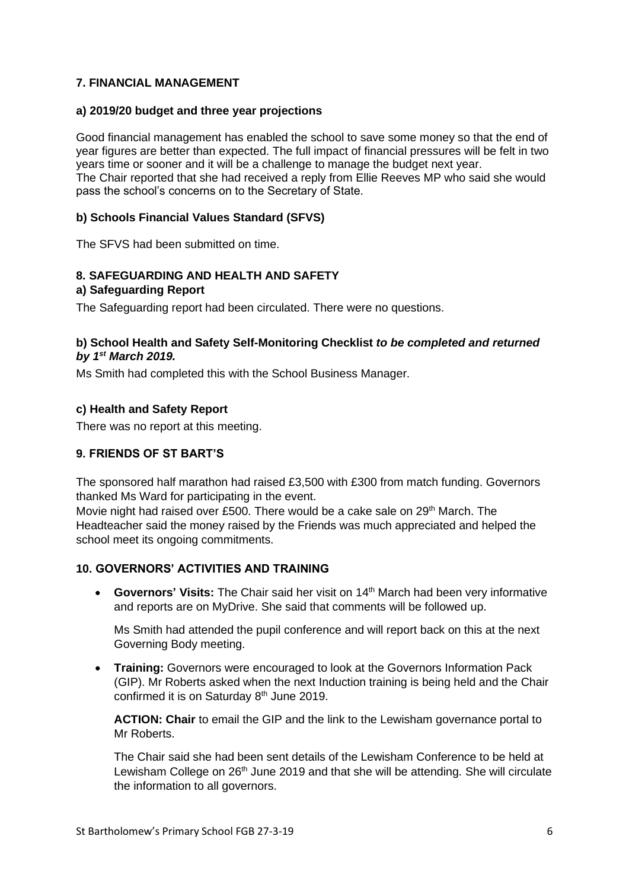## **7. FINANCIAL MANAGEMENT**

### **a) 2019/20 budget and three year projections**

Good financial management has enabled the school to save some money so that the end of year figures are better than expected. The full impact of financial pressures will be felt in two years time or sooner and it will be a challenge to manage the budget next year. The Chair reported that she had received a reply from Ellie Reeves MP who said she would pass the school's concerns on to the Secretary of State.

## **b) Schools Financial Values Standard (SFVS)**

The SFVS had been submitted on time.

## **8. SAFEGUARDING AND HEALTH AND SAFETY**

### **a) Safeguarding Report**

The Safeguarding report had been circulated. There were no questions.

## **b) School Health and Safety Self-Monitoring Checklist** *to be completed and returned by 1st March 2019.*

Ms Smith had completed this with the School Business Manager.

### **c) Health and Safety Report**

There was no report at this meeting.

## **9. FRIENDS OF ST BART'S**

The sponsored half marathon had raised £3,500 with £300 from match funding. Governors thanked Ms Ward for participating in the event.

Movie night had raised over £500. There would be a cake sale on 29<sup>th</sup> March. The Headteacher said the money raised by the Friends was much appreciated and helped the school meet its ongoing commitments.

## **10. GOVERNORS' ACTIVITIES AND TRAINING**

• Governors' Visits: The Chair said her visit on 14<sup>th</sup> March had been very informative and reports are on MyDrive. She said that comments will be followed up.

Ms Smith had attended the pupil conference and will report back on this at the next Governing Body meeting.

• **Training:** Governors were encouraged to look at the Governors Information Pack (GIP). Mr Roberts asked when the next Induction training is being held and the Chair confirmed it is on Saturday 8<sup>th</sup> June 2019.

**ACTION: Chair** to email the GIP and the link to the Lewisham governance portal to Mr Roberts.

The Chair said she had been sent details of the Lewisham Conference to be held at Lewisham College on  $26<sup>th</sup>$  June 2019 and that she will be attending. She will circulate the information to all governors.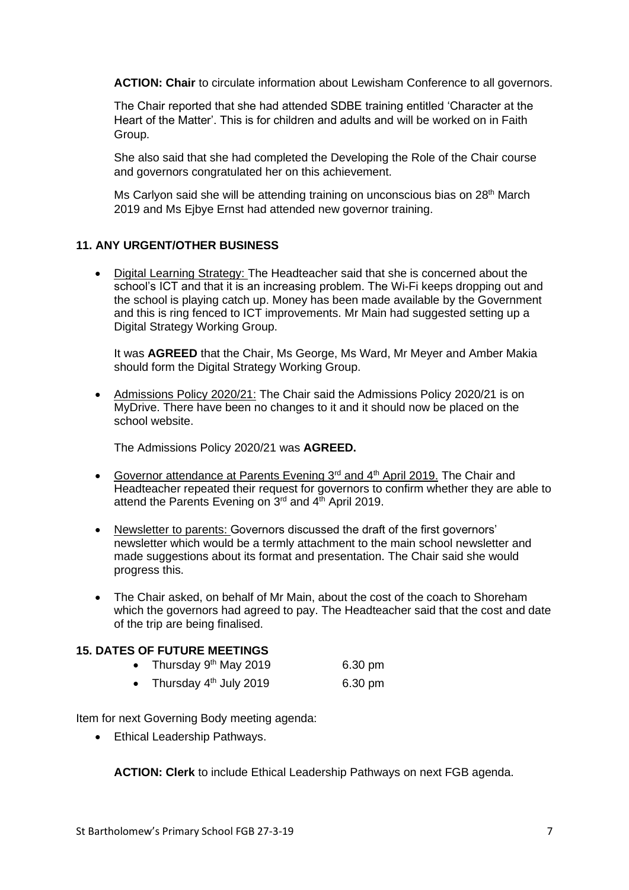**ACTION: Chair** to circulate information about Lewisham Conference to all governors.

The Chair reported that she had attended SDBE training entitled 'Character at the Heart of the Matter'. This is for children and adults and will be worked on in Faith Group.

She also said that she had completed the Developing the Role of the Chair course and governors congratulated her on this achievement.

Ms Carlyon said she will be attending training on unconscious bias on 28<sup>th</sup> March 2019 and Ms Eibye Ernst had attended new governor training.

### **11. ANY URGENT/OTHER BUSINESS**

• Digital Learning Strategy: The Headteacher said that she is concerned about the school's ICT and that it is an increasing problem. The Wi-Fi keeps dropping out and the school is playing catch up. Money has been made available by the Government and this is ring fenced to ICT improvements. Mr Main had suggested setting up a Digital Strategy Working Group.

It was **AGREED** that the Chair, Ms George, Ms Ward, Mr Meyer and Amber Makia should form the Digital Strategy Working Group.

• Admissions Policy 2020/21: The Chair said the Admissions Policy 2020/21 is on MyDrive. There have been no changes to it and it should now be placed on the school website.

The Admissions Policy 2020/21 was **AGREED.**

- Governor attendance at Parents Evening 3<sup>rd</sup> and 4<sup>th</sup> April 2019. The Chair and Headteacher repeated their request for governors to confirm whether they are able to attend the Parents Evening on  $3<sup>rd</sup>$  and  $4<sup>th</sup>$  April 2019.
- Newsletter to parents: Governors discussed the draft of the first governors' newsletter which would be a termly attachment to the main school newsletter and made suggestions about its format and presentation. The Chair said she would progress this.
- The Chair asked, on behalf of Mr Main, about the cost of the coach to Shoreham which the governors had agreed to pay. The Headteacher said that the cost and date of the trip are being finalised.

#### **15. DATES OF FUTURE MEETINGS**

|  | Thursday 9 <sup>th</sup> May 2019 | 6.30 pm |
|--|-----------------------------------|---------|
|--|-----------------------------------|---------|

• Thursday  $4<sup>th</sup>$  July 2019 6.30 pm

Item for next Governing Body meeting agenda:

• Ethical Leadership Pathways.

**ACTION: Clerk** to include Ethical Leadership Pathways on next FGB agenda.